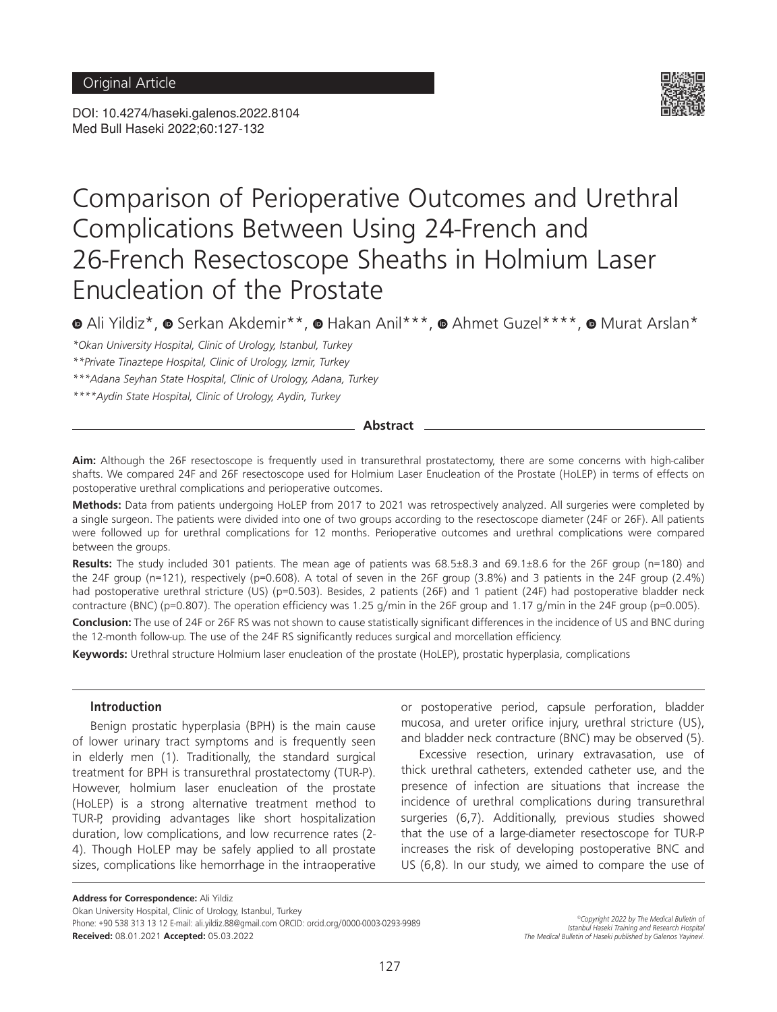DOI: 10.4274/haseki.galenos.2022.8104 Med Bull Haseki 2022;60:127-132



# Comparison of Perioperative Outcomes and Urethral Complications Between Using 24-French and 26-French Resectoscope Sheaths in Holmium Laser Enucleation of the Prostate

 $\bullet$ Ali Yildiz\*,  $\bullet$  Serkan Akdemir\*\*,  $\bullet$  Hakan Anil\*\*\*,  $\bullet$  Ahmet Guzel\*\*\*\*,  $\bullet$  Murat Arslan\*

*\*Okan University Hospital, Clinic of Urology, Istanbul, Turkey*

*\*\*Private Tinaztepe Hospital, Clinic of Urology, Izmir, Turkey*

*\*\*\*Adana Seyhan State Hospital, Clinic of Urology, Adana, Turkey*

*\*\*\*\*Aydin State Hospital, Clinic of Urology, Aydin, Turkey*

#### **Abstract**

**Aim:** Although the 26F resectoscope is frequently used in transurethral prostatectomy, there are some concerns with high-caliber shafts. We compared 24F and 26F resectoscope used for Holmium Laser Enucleation of the Prostate (HoLEP) in terms of effects on postoperative urethral complications and perioperative outcomes.

**Methods:** Data from patients undergoing HoLEP from 2017 to 2021 was retrospectively analyzed. All surgeries were completed by a single surgeon. The patients were divided into one of two groups according to the resectoscope diameter (24F or 26F). All patients were followed up for urethral complications for 12 months. Perioperative outcomes and urethral complications were compared between the groups.

**Results:** The study included 301 patients. The mean age of patients was 68.5±8.3 and 69.1±8.6 for the 26F group (n=180) and the 24F group (n=121), respectively (p=0.608). A total of seven in the 26F group (3.8%) and 3 patients in the 24F group (2.4%) had postoperative urethral stricture (US) (p=0.503). Besides, 2 patients (26F) and 1 patient (24F) had postoperative bladder neck contracture (BNC) (p=0.807). The operation efficiency was 1.25 g/min in the 26F group and 1.17 g/min in the 24F group (p=0.005).

**Conclusion:** The use of 24F or 26F RS was not shown to cause statistically significant differences in the incidence of US and BNC during the 12-month follow-up. The use of the 24F RS significantly reduces surgical and morcellation efficiency.

**Keywords:** Urethral structure Holmium laser enucleation of the prostate (HoLEP), prostatic hyperplasia, complications

# **Introduction**

Benign prostatic hyperplasia (BPH) is the main cause of lower urinary tract symptoms and is frequently seen in elderly men (1). Traditionally, the standard surgical treatment for BPH is transurethral prostatectomy (TUR-P). However, holmium laser enucleation of the prostate (HoLEP) is a strong alternative treatment method to TUR-P, providing advantages like short hospitalization duration, low complications, and low recurrence rates (2- 4). Though HoLEP may be safely applied to all prostate sizes, complications like hemorrhage in the intraoperative

or postoperative period, capsule perforation, bladder mucosa, and ureter orifice injury, urethral stricture (US), and bladder neck contracture (BNC) may be observed (5).

Excessive resection, urinary extravasation, use of thick urethral catheters, extended catheter use, and the presence of infection are situations that increase the incidence of urethral complications during transurethral surgeries (6,7). Additionally, previous studies showed that the use of a large-diameter resectoscope for TUR-P increases the risk of developing postoperative BNC and US (6,8). In our study, we aimed to compare the use of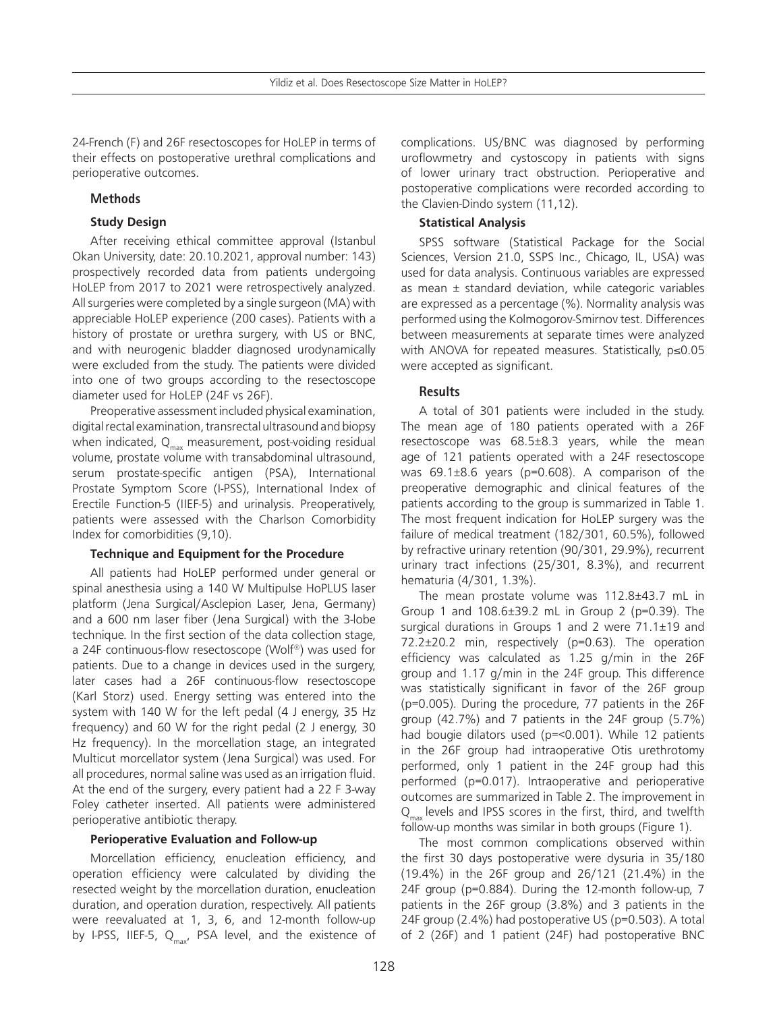24-French (F) and 26F resectoscopes for HoLEP in terms of their effects on postoperative urethral complications and perioperative outcomes.

# **Methods**

# **Study Design**

After receiving ethical committee approval (Istanbul Okan University, date: 20.10.2021, approval number: 143) prospectively recorded data from patients undergoing HoLEP from 2017 to 2021 were retrospectively analyzed. All surgeries were completed by a single surgeon (MA) with appreciable HoLEP experience (200 cases). Patients with a history of prostate or urethra surgery, with US or BNC, and with neurogenic bladder diagnosed urodynamically were excluded from the study. The patients were divided into one of two groups according to the resectoscope diameter used for HoLEP (24F vs 26F).

Preoperative assessment included physical examination, digital rectal examination, transrectal ultrasound and biopsy when indicated,  $Q_{\text{max}}$  measurement, post-voiding residual volume, prostate volume with transabdominal ultrasound, serum prostate-specific antigen (PSA), International Prostate Symptom Score (I-PSS), International Index of Erectile Function-5 (IIEF-5) and urinalysis. Preoperatively, patients were assessed with the Charlson Comorbidity Index for comorbidities (9,10).

# **Technique and Equipment for the Procedure**

All patients had HoLEP performed under general or spinal anesthesia using a 140 W Multipulse HoPLUS laser platform (Jena Surgical/Asclepion Laser, Jena, Germany) and a 600 nm laser fiber (Jena Surgical) with the 3-lobe technique. In the first section of the data collection stage, a 24F continuous-flow resectoscope (Wolf®) was used for patients. Due to a change in devices used in the surgery, later cases had a 26F continuous-flow resectoscope (Karl Storz) used. Energy setting was entered into the system with 140 W for the left pedal (4 J energy, 35 Hz frequency) and 60 W for the right pedal (2 J energy, 30 Hz frequency). In the morcellation stage, an integrated Multicut morcellator system (Jena Surgical) was used. For all procedures, normal saline was used as an irrigation fluid. At the end of the surgery, every patient had a 22 F 3-way Foley catheter inserted. All patients were administered perioperative antibiotic therapy.

# **Perioperative Evaluation and Follow-up**

Morcellation efficiency, enucleation efficiency, and operation efficiency were calculated by dividing the resected weight by the morcellation duration, enucleation duration, and operation duration, respectively. All patients were reevaluated at 1, 3, 6, and 12-month follow-up by I-PSS, IIEF-5,  $Q_{\text{max}}$ , PSA level, and the existence of complications. US/BNC was diagnosed by performing uroflowmetry and cystoscopy in patients with signs of lower urinary tract obstruction. Perioperative and postoperative complications were recorded according to the Clavien-Dindo system (11,12).

# **Statistical Analysis**

SPSS software (Statistical Package for the Social Sciences, Version 21.0, SSPS Inc., Chicago, IL, USA) was used for data analysis. Continuous variables are expressed as mean ± standard deviation, while categoric variables are expressed as a percentage (%). Normality analysis was performed using the Kolmogorov-Smirnov test. Differences between measurements at separate times were analyzed with ANOVA for repeated measures. Statistically, p≤0.05 were accepted as significant.

# **Results**

A total of 301 patients were included in the study. The mean age of 180 patients operated with a 26F resectoscope was 68.5±8.3 years, while the mean age of 121 patients operated with a 24F resectoscope was 69.1±8.6 years (p=0.608). A comparison of the preoperative demographic and clinical features of the patients according to the group is summarized in Table 1. The most frequent indication for HoLEP surgery was the failure of medical treatment (182/301, 60.5%), followed by refractive urinary retention (90/301, 29.9%), recurrent urinary tract infections (25/301, 8.3%), and recurrent hematuria (4/301, 1.3%).

The mean prostate volume was 112.8±43.7 mL in Group 1 and 108.6±39.2 mL in Group 2 (p=0.39). The surgical durations in Groups 1 and 2 were 71.1±19 and 72.2±20.2 min, respectively (p=0.63). The operation efficiency was calculated as 1.25 g/min in the 26F group and 1.17 g/min in the 24F group. This difference was statistically significant in favor of the 26F group (p=0.005). During the procedure, 77 patients in the 26F group (42.7%) and 7 patients in the 24F group (5.7%) had bougie dilators used (p=<0.001). While 12 patients in the 26F group had intraoperative Otis urethrotomy performed, only 1 patient in the 24F group had this performed (p=0.017). Intraoperative and perioperative outcomes are summarized in Table 2. The improvement in  $Q_{\text{max}}$  levels and IPSS scores in the first, third, and twelfth follow-up months was similar in both groups (Figure 1).

The most common complications observed within the first 30 days postoperative were dysuria in 35/180 (19.4%) in the 26F group and 26/121 (21.4%) in the 24F group (p=0.884). During the 12-month follow-up, 7 patients in the 26F group (3.8%) and 3 patients in the 24F group (2.4%) had postoperative US (p=0.503). A total of 2 (26F) and 1 patient (24F) had postoperative BNC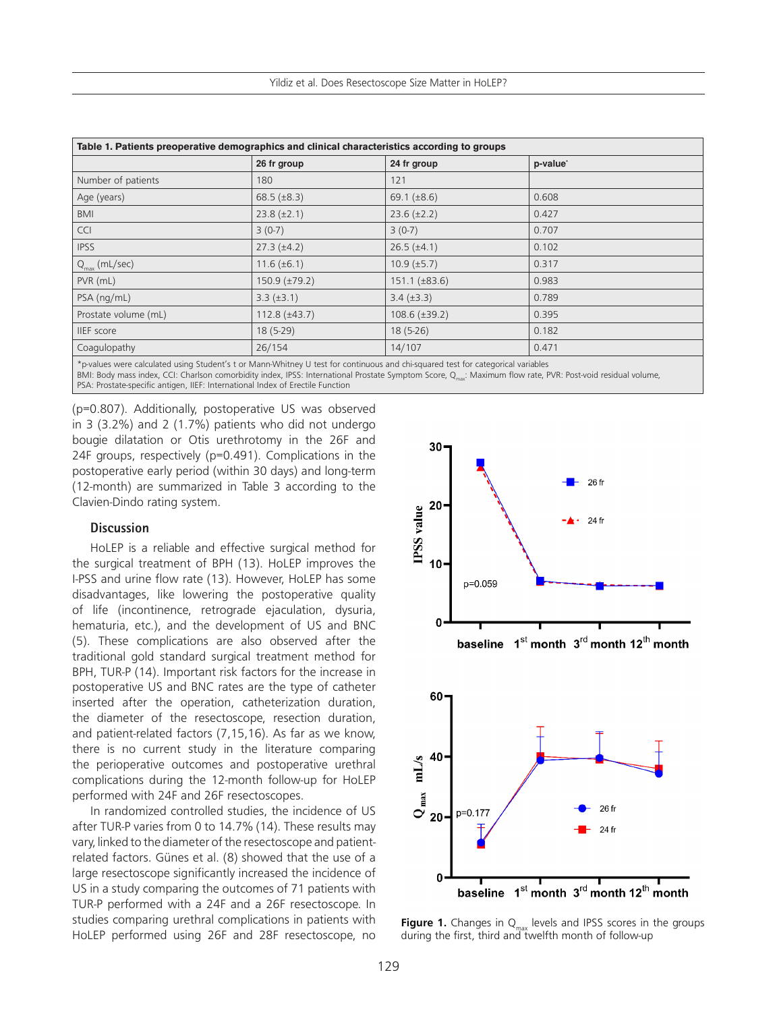| Table 1. Patients preoperative demographics and clinical characteristics according to groups |                    |                    |                      |  |  |  |
|----------------------------------------------------------------------------------------------|--------------------|--------------------|----------------------|--|--|--|
|                                                                                              | 26 fr group        | 24 fr group        | p-value <sup>*</sup> |  |  |  |
| Number of patients                                                                           | 180                | 121                |                      |  |  |  |
| Age (years)                                                                                  | $68.5 (\pm 8.3)$   | 69.1 $(\pm 8.6)$   | 0.608                |  |  |  |
| <b>BMI</b>                                                                                   | $23.8 (\pm 2.1)$   | $23.6 (\pm 2.2)$   | 0.427                |  |  |  |
| <b>CCI</b>                                                                                   | $3(0-7)$           | $3(0-7)$           | 0.707                |  |  |  |
| <b>IPSS</b>                                                                                  | $27.3 (\pm 4.2)$   | $26.5 (\pm 4.1)$   | 0.102                |  |  |  |
| $Q_{\text{max}}$ (mL/sec)                                                                    | $11.6 (\pm 6.1)$   | $10.9 \ (\pm 5.7)$ | 0.317                |  |  |  |
| $PVR$ ( $mL$ )                                                                               | $150.9 (\pm 79.2)$ | $151.1 (\pm 83.6)$ | 0.983                |  |  |  |
| PSA (ng/mL)                                                                                  | $3.3 (\pm 3.1)$    | $3.4 (\pm 3.3)$    | 0.789                |  |  |  |
| Prostate volume (mL)                                                                         | $112.8 (\pm 43.7)$ | $108.6 (\pm 39.2)$ | 0.395                |  |  |  |
| <b>IIEF</b> score                                                                            | $18(5-29)$         | $18(5-26)$         | 0.182                |  |  |  |
| Coagulopathy                                                                                 | 26/154             | 14/107             | 0.471                |  |  |  |
|                                                                                              |                    |                    |                      |  |  |  |

\*p-values were calculated using Student's t or Mann-Whitney U test for continuous and chi-squared test for categorical variables

BMI: Body mass index, CCI: Charlson comorbidity index, IPSS: International Prostate Symptom Score, Q<sub>max</sub>: Maximum flow rate, PVR: Post-void residual volume, PSA: Prostate-specific antigen, IIEF: International Index of Erectile Function

(p=0.807). Additionally, postoperative US was observed in 3 (3.2%) and 2 (1.7%) patients who did not undergo bougie dilatation or Otis urethrotomy in the 26F and 24F groups, respectively (p=0.491). Complications in the postoperative early period (within 30 days) and long-term (12-month) are summarized in Table 3 according to the Clavien-Dindo rating system.

#### **Discussion**

HoLEP is a reliable and effective surgical method for the surgical treatment of BPH (13). HoLEP improves the I-PSS and urine flow rate (13). However, HoLEP has some disadvantages, like lowering the postoperative quality of life (incontinence, retrograde ejaculation, dysuria, hematuria, etc.), and the development of US and BNC (5). These complications are also observed after the traditional gold standard surgical treatment method for BPH, TUR-P (14). Important risk factors for the increase in postoperative US and BNC rates are the type of catheter inserted after the operation, catheterization duration, the diameter of the resectoscope, resection duration, and patient-related factors (7,15,16). As far as we know, there is no current study in the literature comparing the perioperative outcomes and postoperative urethral complications during the 12-month follow-up for HoLEP performed with 24F and 26F resectoscopes.

In randomized controlled studies, the incidence of US after TUR-P varies from 0 to 14.7% (14). These results may vary, linked to the diameter of the resectoscope and patientrelated factors. Günes et al. (8) showed that the use of a large resectoscope significantly increased the incidence of US in a study comparing the outcomes of 71 patients with TUR-P performed with a 24F and a 26F resectoscope. In studies comparing urethral complications in patients with HoLEP performed using 26F and 28F resectoscope, no



**Figure 1.** Changes in Q<sub>max</sub> levels and IPSS scores in the groups during the first, third and twelfth month of follow-up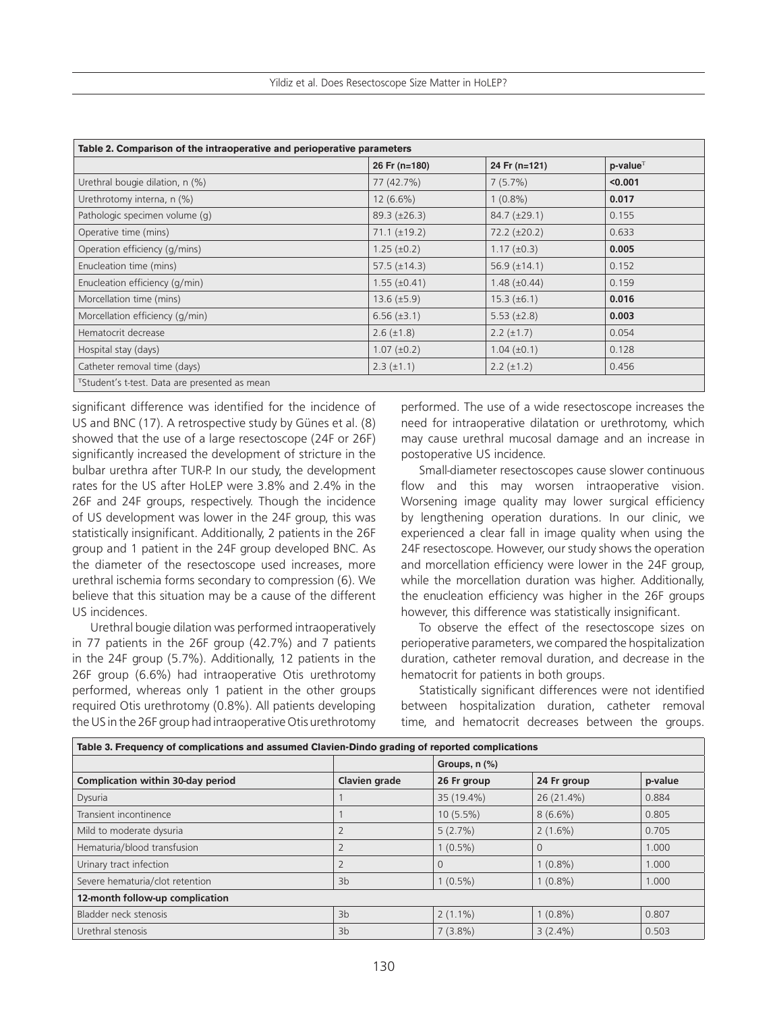| Table 2. Comparison of the intraoperative and perioperative parameters |                     |                     |                |  |  |  |
|------------------------------------------------------------------------|---------------------|---------------------|----------------|--|--|--|
|                                                                        | 26 Fr (n=180)       | 24 Fr (n=121)       | $p$ -value $T$ |  |  |  |
| Urethral bougie dilation, n (%)                                        | 77 (42.7%)          | 7(5.7%)             | < 0.001        |  |  |  |
| Urethrotomy interna, n (%)                                             | $12(6.6\%)$         | $1(0.8\%)$          | 0.017          |  |  |  |
| Pathologic specimen volume (q)                                         | $89.3 (\pm 26.3)$   | $84.7 (\pm 29.1)$   | 0.155          |  |  |  |
| Operative time (mins)                                                  | $71.1 (\pm 19.2)$   | $72.2 (\pm 20.2)$   | 0.633          |  |  |  |
| Operation efficiency (g/mins)                                          | $1.25 \ (\pm 0.2)$  | $1.17 \ (\pm 0.3)$  | 0.005          |  |  |  |
| Enucleation time (mins)                                                | $57.5 (\pm 14.3)$   | 56.9 $(\pm 14.1)$   | 0.152          |  |  |  |
| Enucleation efficiency (g/min)                                         | $1.55 \ (\pm 0.41)$ | $1.48 \ (\pm 0.44)$ | 0.159          |  |  |  |
| Morcellation time (mins)                                               | $13.6 \ (\pm 5.9)$  | $15.3 \ (\pm 6.1)$  | 0.016          |  |  |  |
| Morcellation efficiency (g/min)                                        | $6.56 (\pm 3.1)$    | $5.53 \ (\pm 2.8)$  | 0.003          |  |  |  |
| Hematocrit decrease                                                    | $2.6 (\pm 1.8)$     | $2.2 (\pm 1.7)$     | 0.054          |  |  |  |
| Hospital stay (days)                                                   | $1.07 (\pm 0.2)$    | $1.04 \ (\pm 0.1)$  | 0.128          |  |  |  |
| Catheter removal time (days)                                           | $2.3 (\pm 1.1)$     | $2.2 (\pm 1.2)$     | 0.456          |  |  |  |
| <sup>T</sup> Student's t-test. Data are presented as mean              |                     |                     |                |  |  |  |

significant difference was identified for the incidence of US and BNC (17). A retrospective study by Günes et al. (8) showed that the use of a large resectoscope (24F or 26F) significantly increased the development of stricture in the bulbar urethra after TUR-P. In our study, the development rates for the US after HoLEP were 3.8% and 2.4% in the 26F and 24F groups, respectively. Though the incidence of US development was lower in the 24F group, this was statistically insignificant. Additionally, 2 patients in the 26F group and 1 patient in the 24F group developed BNC. As the diameter of the resectoscope used increases, more urethral ischemia forms secondary to compression (6). We believe that this situation may be a cause of the different US incidences.

Urethral bougie dilation was performed intraoperatively in 77 patients in the 26F group (42.7%) and 7 patients in the 24F group (5.7%). Additionally, 12 patients in the 26F group (6.6%) had intraoperative Otis urethrotomy performed, whereas only 1 patient in the other groups required Otis urethrotomy (0.8%). All patients developing the US in the 26F group had intraoperative Otis urethrotomy

performed. The use of a wide resectoscope increases the need for intraoperative dilatation or urethrotomy, which may cause urethral mucosal damage and an increase in postoperative US incidence.

Small-diameter resectoscopes cause slower continuous flow and this may worsen intraoperative vision. Worsening image quality may lower surgical efficiency by lengthening operation durations. In our clinic, we experienced a clear fall in image quality when using the 24F resectoscope. However, our study shows the operation and morcellation efficiency were lower in the 24F group, while the morcellation duration was higher. Additionally, the enucleation efficiency was higher in the 26F groups however, this difference was statistically insignificant.

To observe the effect of the resectoscope sizes on perioperative parameters, we compared the hospitalization duration, catheter removal duration, and decrease in the hematocrit for patients in both groups.

Statistically significant differences were not identified between hospitalization duration, catheter removal time, and hematocrit decreases between the groups.

| Table 3. Frequency of complications and assumed Clavien-Dindo grading of reported complications |                |               |             |         |  |  |  |
|-------------------------------------------------------------------------------------------------|----------------|---------------|-------------|---------|--|--|--|
|                                                                                                 |                | Groups, n (%) |             |         |  |  |  |
| <b>Complication within 30-day period</b>                                                        | Clavien grade  | 26 Fr group   | 24 Fr group | p-value |  |  |  |
| Dysuria                                                                                         |                | 35 (19.4%)    | 26 (21.4%)  | 0.884   |  |  |  |
| Transient incontinence                                                                          |                | $10(5.5\%)$   | $8(6.6\%)$  | 0.805   |  |  |  |
| Mild to moderate dysuria                                                                        |                | 5(2.7%)       | $2(1.6\%)$  | 0.705   |  |  |  |
| Hematuria/blood transfusion                                                                     |                | $1(0.5\%)$    |             | 1.000   |  |  |  |
| Urinary tract infection                                                                         |                | $\Omega$      | $1(0.8\%)$  | 1.000   |  |  |  |
| Severe hematuria/clot retention                                                                 | 3 <sub>b</sub> | $1(0.5\%)$    | $1(0.8\%)$  | 1.000   |  |  |  |
| 12-month follow-up complication                                                                 |                |               |             |         |  |  |  |
| Bladder neck stenosis                                                                           | 3 <sub>b</sub> | $2(1.1\%)$    | $1(0.8\%)$  | 0.807   |  |  |  |
| Urethral stenosis                                                                               | 3 <sub>b</sub> | $7(3.8\%)$    | $3(2.4\%)$  | 0.503   |  |  |  |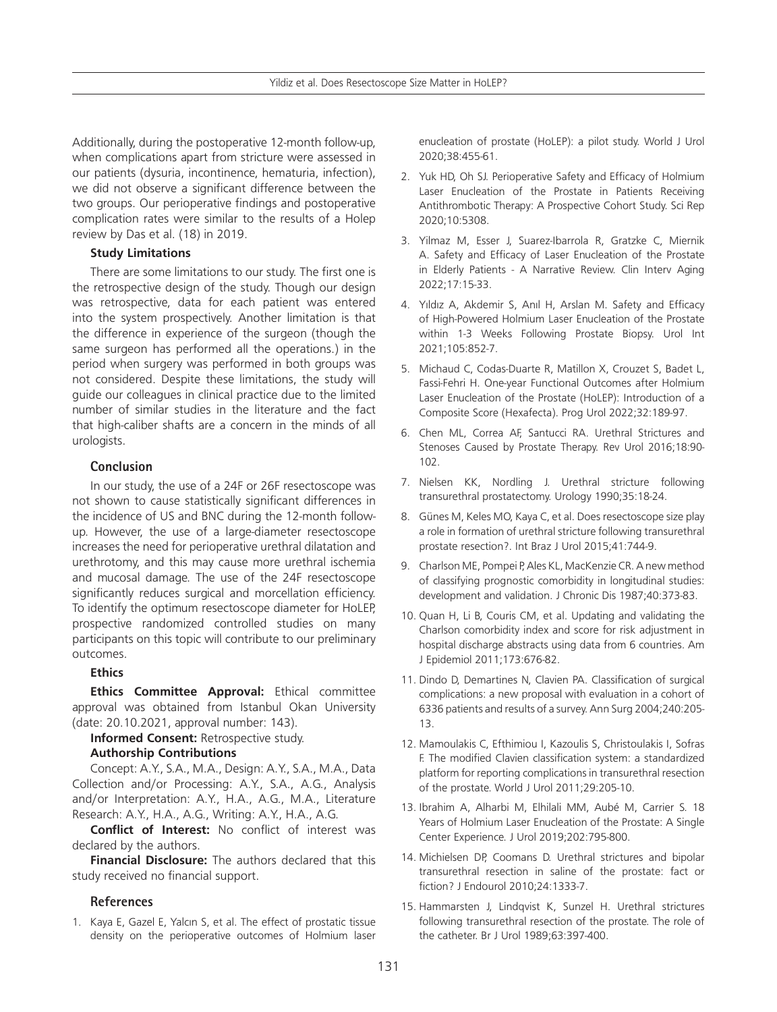Additionally, during the postoperative 12-month follow-up, when complications apart from stricture were assessed in our patients (dysuria, incontinence, hematuria, infection), we did not observe a significant difference between the two groups. Our perioperative findings and postoperative complication rates were similar to the results of a Holep review by Das et al. (18) in 2019.

## **Study Limitations**

There are some limitations to our study. The first one is the retrospective design of the study. Though our design was retrospective, data for each patient was entered into the system prospectively. Another limitation is that the difference in experience of the surgeon (though the same surgeon has performed all the operations.) in the period when surgery was performed in both groups was not considered. Despite these limitations, the study will guide our colleagues in clinical practice due to the limited number of similar studies in the literature and the fact that high-caliber shafts are a concern in the minds of all urologists.

# **Conclusion**

In our study, the use of a 24F or 26F resectoscope was not shown to cause statistically significant differences in the incidence of US and BNC during the 12-month followup. However, the use of a large-diameter resectoscope increases the need for perioperative urethral dilatation and urethrotomy, and this may cause more urethral ischemia and mucosal damage. The use of the 24F resectoscope significantly reduces surgical and morcellation efficiency. To identify the optimum resectoscope diameter for HoLEP, prospective randomized controlled studies on many participants on this topic will contribute to our preliminary outcomes.

# **Ethics**

**Ethics Committee Approval:** Ethical committee approval was obtained from Istanbul Okan University (date: 20.10.2021, approval number: 143).

**Informed Consent:** Retrospective study.

# **Authorship Contributions**

Concept: A.Y., S.A., M.A., Design: A.Y., S.A., M.A., Data Collection and/or Processing: A.Y., S.A., A.G., Analysis and/or Interpretation: A.Y., H.A., A.G., M.A., Literature Research: A.Y., H.A., A.G., Writing: A.Y., H.A., A.G.

**Conflict of Interest:** No conflict of interest was declared by the authors.

**Financial Disclosure:** The authors declared that this study received no financial support.

# **References**

1. Kaya E, Gazel E, Yalcın S, et al. The effect of prostatic tissue density on the perioperative outcomes of Holmium laser

enucleation of prostate (HoLEP): a pilot study. World J Urol 2020;38:455-61.

- 2. Yuk HD, Oh SJ. Perioperative Safety and Efficacy of Holmium Laser Enucleation of the Prostate in Patients Receiving Antithrombotic Therapy: A Prospective Cohort Study. Sci Rep 2020;10:5308.
- 3. Yilmaz M, Esser J, Suarez-Ibarrola R, Gratzke C, Miernik A. Safety and Efficacy of Laser Enucleation of the Prostate in Elderly Patients - A Narrative Review. Clin Interv Aging 2022;17:15-33.
- 4. Yıldız A, Akdemir S, Anıl H, Arslan M. Safety and Efficacy of High-Powered Holmium Laser Enucleation of the Prostate within 1-3 Weeks Following Prostate Biopsy. Urol Int 2021;105:852-7.
- 5. Michaud C, Codas-Duarte R, Matillon X, Crouzet S, Badet L, Fassi-Fehri H. One-year Functional Outcomes after Holmium Laser Enucleation of the Prostate (HoLEP): Introduction of a Composite Score (Hexafecta). Prog Urol 2022;32:189-97.
- 6. Chen ML, Correa AF, Santucci RA. Urethral Strictures and Stenoses Caused by Prostate Therapy. Rev Urol 2016;18:90- 102.
- 7. Nielsen KK, Nordling J. Urethral stricture following transurethral prostatectomy. Urology 1990;35:18-24.
- 8. Günes M, Keles MO, Kaya C, et al. Does resectoscope size play a role in formation of urethral stricture following transurethral prostate resection?. Int Braz J Urol 2015;41:744-9.
- 9. Charlson ME, Pompei P, Ales KL, MacKenzie CR. A new method of classifying prognostic comorbidity in longitudinal studies: development and validation. J Chronic Dis 1987;40:373-83.
- 10. Quan H, Li B, Couris CM, et al. Updating and validating the Charlson comorbidity index and score for risk adjustment in hospital discharge abstracts using data from 6 countries. Am J Epidemiol 2011;173:676-82.
- 11. Dindo D, Demartines N, Clavien PA. Classification of surgical complications: a new proposal with evaluation in a cohort of 6336 patients and results of a survey. Ann Surg 2004;240:205- 13.
- 12. Mamoulakis C, Efthimiou I, Kazoulis S, Christoulakis I, Sofras F. The modified Clavien classification system: a standardized platform for reporting complications in transurethral resection of the prostate. World J Urol 2011;29:205-10.
- 13. Ibrahim A, Alharbi M, Elhilali MM, Aubé M, Carrier S. 18 Years of Holmium Laser Enucleation of the Prostate: A Single Center Experience. J Urol 2019;202:795-800.
- 14. Michielsen DP, Coomans D. Urethral strictures and bipolar transurethral resection in saline of the prostate: fact or fiction? J Endourol 2010;24:1333-7.
- 15. Hammarsten J, Lindqvist K, Sunzel H. Urethral strictures following transurethral resection of the prostate. The role of the catheter. Br J Urol 1989;63:397-400.